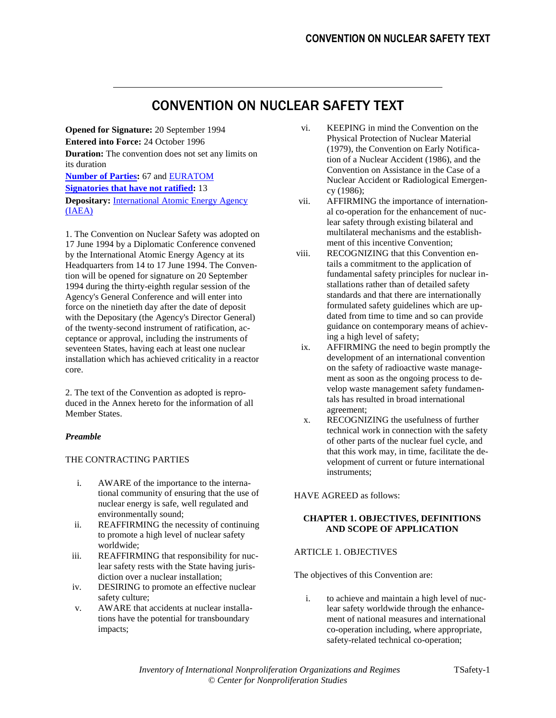**Opened for Signature:** 20 September 1994 **Entered into Force:** 24 October 1996 **Duration:** The convention does not set any limits on its duration **[Number of Parties:](apmnuc.pdf)** 67 and [EURATOM](euratom.pdf) **[Signatories that have not ratified:](apmnuc.pdf)** 13

**Depositary:** [International Atomic Energy Agency](iaea.pdf)  [\(IAEA\)](iaea.pdf)

1. The Convention on Nuclear Safety was [adopted on](http://www.iaea.org/Publications/Documents/Infcircs/Others/inf449a1.shtml)  [17 June 1994](http://www.iaea.org/Publications/Documents/Infcircs/Others/inf449a1.shtml) by a Diplomatic Conference convened by the International Atomic Energy Agency at its Headquarters from 14 to 17 June 1994. The Convention will be opened for signature on 20 September 1994 during the thirty-eighth regular session of the Agency's General Conference and will enter into force on the ninetieth day after the date of deposit with the Depositary (the Agency's Director General) of the twenty-second instrument of ratification, acceptance or approval, including the instruments of seventeen States, having each at least one nuclear installation which has achieved criticality in a reactor core.

2. The text of the Convention as adopted is reproduced in the Annex hereto for the information of all Member States.

# *Preamble*

#### THE CONTRACTING PARTIES

- i. AWARE of the importance to the international community of ensuring that the use of nuclear energy is safe, well regulated and environmentally sound;
- ii. REAFFIRMING the necessity of continuing to promote a high level of nuclear safety worldwide;
- iii. REAFFIRMING that responsibility for nuclear safety rests with the State having jurisdiction over a nuclear installation;
- iv. DESIRING to promote an effective nuclear safety culture;
- v. AWARE that accidents at nuclear installations have the potential for transboundary impacts;
- vi. KEEPING in mind the Convention on the Physical Protection of Nuclear Material (1979), the Convention on Early Notification of a Nuclear Accident (1986), and the Convention on Assistance in the Case of a Nuclear Accident or Radiological Emergency (1986);
- vii. AFFIRMING the importance of international co-operation for the enhancement of nuclear safety through existing bilateral and multilateral mechanisms and the establishment of this incentive Convention;
- viii. RECOGNIZING that this Convention entails a commitment to the application of fundamental safety principles for nuclear installations rather than of detailed safety standards and that there are internationally formulated safety guidelines which are updated from time to time and so can provide guidance on contemporary means of achieving a high level of safety;
- ix. AFFIRMING the need to begin promptly the development of an international convention on the safety of radioactive waste management as soon as the ongoing process to develop waste management safety fundamentals has resulted in broad international agreement;
- x. RECOGNIZING the usefulness of further technical work in connection with the safety of other parts of the nuclear fuel cycle, and that this work may, in time, facilitate the development of current or future international instruments;

HAVE AGREED as follows:

#### **CHAPTER 1. OBJECTIVES, DEFINITIONS AND SCOPE OF APPLICATION**

#### ARTICLE 1. OBJECTIVES

The objectives of this Convention are:

i. to achieve and maintain a high level of nuclear safety worldwide through the enhancement of national measures and international co-operation including, where appropriate, safety-related technical co-operation;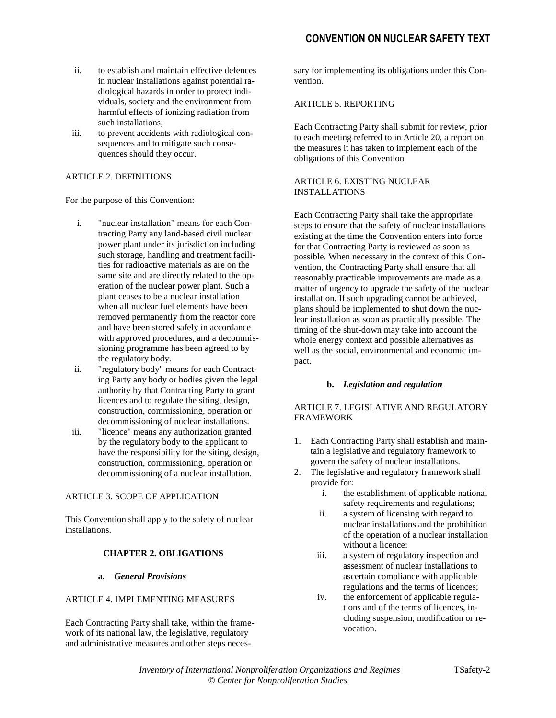- ii. to establish and maintain effective defences in nuclear installations against potential radiological hazards in order to protect individuals, society and the environment from harmful effects of ionizing radiation from such installations;
- iii. to prevent accidents with radiological consequences and to mitigate such consequences should they occur.

#### ARTICLE 2. DEFINITIONS

For the purpose of this Convention:

- i. "nuclear installation" means for each Contracting Party any land-based civil nuclear power plant under its jurisdiction including such storage, handling and treatment facilities for radioactive materials as are on the same site and are directly related to the operation of the nuclear power plant. Such a plant ceases to be a nuclear installation when all nuclear fuel elements have been removed permanently from the reactor core and have been stored safely in accordance with approved procedures, and a decommissioning programme has been agreed to by the regulatory body.
- ii. "regulatory body" means for each Contracting Party any body or bodies given the legal authority by that Contracting Party to grant licences and to regulate the siting, design, construction, commissioning, operation or decommissioning of nuclear installations.
- iii. "licence" means any authorization granted by the regulatory body to the applicant to have the responsibility for the siting, design, construction, commissioning, operation or decommissioning of a nuclear installation.

#### ARTICLE 3. SCOPE OF APPLICATION

This Convention shall apply to the safety of nuclear installations.

#### **CHAPTER 2. OBLIGATIONS**

#### **a.** *General Provisions*

#### ARTICLE 4. IMPLEMENTING MEASURES

Each Contracting Party shall take, within the framework of its national law, the legislative, regulatory and administrative measures and other steps necessary for implementing its obligations under this Convention.

#### ARTICLE 5. REPORTING

Each Contracting Party shall submit for review, prior to each meeting referred to in Article 20, a report on the measures it has taken to implement each of the obligations of this Convention

## ARTICLE 6. EXISTING NUCLEAR INSTALLATIONS

Each Contracting Party shall take the appropriate steps to ensure that the safety of nuclear installations existing at the time the Convention enters into force for that Contracting Party is reviewed as soon as possible. When necessary in the context of this Convention, the Contracting Party shall ensure that all reasonably practicable improvements are made as a matter of urgency to upgrade the safety of the nuclear installation. If such upgrading cannot be achieved, plans should be implemented to shut down the nuclear installation as soon as practically possible. The timing of the shut-down may take into account the whole energy context and possible alternatives as well as the social, environmental and economic impact.

#### **b.** *Legislation and regulation*

#### ARTICLE 7. LEGISLATIVE AND REGULATORY FRAMEWORK

- 1. Each Contracting Party shall establish and maintain a legislative and regulatory framework to govern the safety of nuclear installations.
- 2. The legislative and regulatory framework shall provide for:
	- i. the establishment of applicable national safety requirements and regulations;
	- ii. a system of licensing with regard to nuclear installations and the prohibition of the operation of a nuclear installation without a licence:
	- iii. a system of regulatory inspection and assessment of nuclear installations to ascertain compliance with applicable regulations and the terms of licences;
	- iv. the enforcement of applicable regulations and of the terms of licences, including suspension, modification or revocation.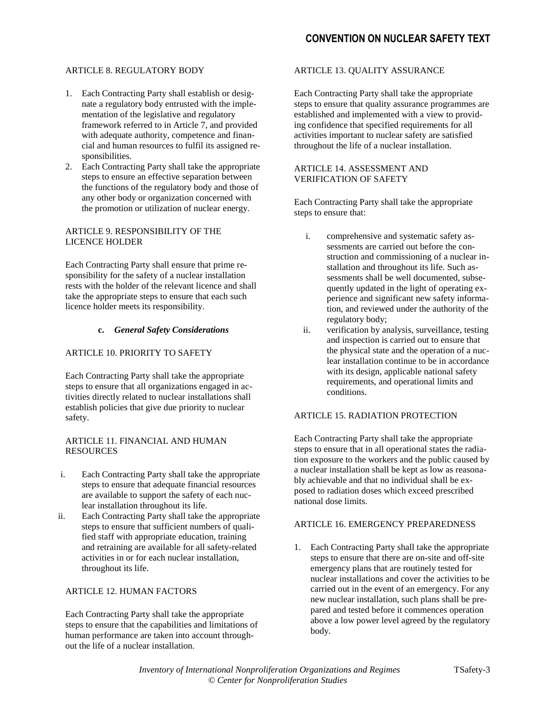# ARTICLE 8. REGULATORY BODY

- 1. Each Contracting Party shall establish or designate a regulatory body entrusted with the implementation of the legislative and regulatory framework referred to in Article 7, and provided with adequate authority, competence and financial and human resources to fulfil its assigned responsibilities.
- 2. Each Contracting Party shall take the appropriate steps to ensure an effective separation between the functions of the regulatory body and those of any other body or organization concerned with the promotion or utilization of nuclear energy.

#### ARTICLE 9. RESPONSIBILITY OF THE LICENCE HOLDER

Each Contracting Party shall ensure that prime responsibility for the safety of a nuclear installation rests with the holder of the relevant licence and shall take the appropriate steps to ensure that each such licence holder meets its responsibility.

#### **c.** *General Safety Considerations*

#### ARTICLE 10. PRIORITY TO SAFETY

Each Contracting Party shall take the appropriate steps to ensure that all organizations engaged in activities directly related to nuclear installations shall establish policies that give due priority to nuclear safety.

#### ARTICLE 11. FINANCIAL AND HUMAN **RESOURCES**

- i. Each Contracting Party shall take the appropriate steps to ensure that adequate financial resources are available to support the safety of each nuclear installation throughout its life.
- ii. Each Contracting Party shall take the appropriate steps to ensure that sufficient numbers of qualified staff with appropriate education, training and retraining are available for all safety-related activities in or for each nuclear installation, throughout its life.

#### ARTICLE 12. HUMAN FACTORS

Each Contracting Party shall take the appropriate steps to ensure that the capabilities and limitations of human performance are taken into account throughout the life of a nuclear installation.

#### ARTICLE 13. QUALITY ASSURANCE

Each Contracting Party shall take the appropriate steps to ensure that quality assurance programmes are established and implemented with a view to providing confidence that specified requirements for all activities important to nuclear safety are satisfied throughout the life of a nuclear installation.

#### ARTICLE 14. ASSESSMENT AND VERIFICATION OF SAFETY

Each Contracting Party shall take the appropriate steps to ensure that:

- i. comprehensive and systematic safety assessments are carried out before the construction and commissioning of a nuclear installation and throughout its life. Such assessments shall be well documented, subsequently updated in the light of operating experience and significant new safety information, and reviewed under the authority of the regulatory body;
- ii. verification by analysis, surveillance, testing and inspection is carried out to ensure that the physical state and the operation of a nuclear installation continue to be in accordance with its design, applicable national safety requirements, and operational limits and conditions.

# ARTICLE 15. RADIATION PROTECTION

Each Contracting Party shall take the appropriate steps to ensure that in all operational states the radiation exposure to the workers and the public caused by a nuclear installation shall be kept as low as reasonably achievable and that no individual shall be exposed to radiation doses which exceed prescribed national dose limits.

#### ARTICLE 16. EMERGENCY PREPAREDNESS

1. Each Contracting Party shall take the appropriate steps to ensure that there are on-site and off-site emergency plans that are routinely tested for nuclear installations and cover the activities to be carried out in the event of an emergency. For any new nuclear installation, such plans shall be prepared and tested before it commences operation above a low power level agreed by the regulatory body.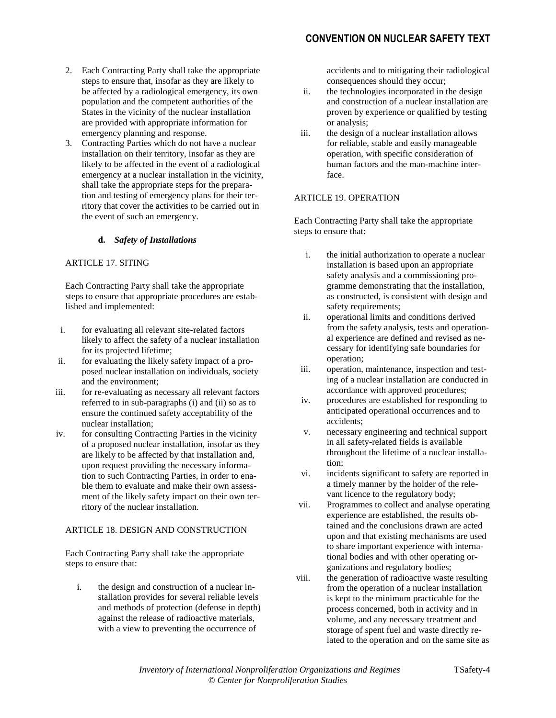- 2. Each Contracting Party shall take the appropriate steps to ensure that, insofar as they are likely to be affected by a radiological emergency, its own population and the competent authorities of the States in the vicinity of the nuclear installation are provided with appropriate information for emergency planning and response.
- 3. Contracting Parties which do not have a nuclear installation on their territory, insofar as they are likely to be affected in the event of a radiological emergency at a nuclear installation in the vicinity, shall take the appropriate steps for the preparation and testing of emergency plans for their territory that cover the activities to be carried out in the event of such an emergency.

#### **d.** *Safety of Installations*

#### ARTICLE 17. SITING

Each Contracting Party shall take the appropriate steps to ensure that appropriate procedures are established and implemented:

- i. for evaluating all relevant site-related factors likely to affect the safety of a nuclear installation for its projected lifetime;
- ii. for evaluating the likely safety impact of a proposed nuclear installation on individuals, society and the environment;
- iii. for re-evaluating as necessary all relevant factors referred to in sub-paragraphs (i) and (ii) so as to ensure the continued safety acceptability of the nuclear installation;
- iv. for consulting Contracting Parties in the vicinity of a proposed nuclear installation, insofar as they are likely to be affected by that installation and, upon request providing the necessary information to such Contracting Parties, in order to enable them to evaluate and make their own assessment of the likely safety impact on their own territory of the nuclear installation.

#### ARTICLE 18. DESIGN AND CONSTRUCTION

Each Contracting Party shall take the appropriate steps to ensure that:

i. the design and construction of a nuclear installation provides for several reliable levels and methods of protection (defense in depth) against the release of radioactive materials, with a view to preventing the occurrence of

accidents and to mitigating their radiological consequences should they occur;

- ii. the technologies incorporated in the design and construction of a nuclear installation are proven by experience or qualified by testing or analysis;
- iii. the design of a nuclear installation allows for reliable, stable and easily manageable operation, with specific consideration of human factors and the man-machine interface.

#### ARTICLE 19. OPERATION

Each Contracting Party shall take the appropriate steps to ensure that:

- i. the initial authorization to operate a nuclear installation is based upon an appropriate safety analysis and a commissioning programme demonstrating that the installation, as constructed, is consistent with design and safety requirements;
- ii. operational limits and conditions derived from the safety analysis, tests and operational experience are defined and revised as necessary for identifying safe boundaries for operation;
- iii. operation, maintenance, inspection and testing of a nuclear installation are conducted in accordance with approved procedures;
- iv. procedures are established for responding to anticipated operational occurrences and to accidents;
- v. necessary engineering and technical support in all safety-related fields is available throughout the lifetime of a nuclear installation;
- vi. incidents significant to safety are reported in a timely manner by the holder of the relevant licence to the regulatory body;
- vii. Programmes to collect and analyse operating experience are established, the results obtained and the conclusions drawn are acted upon and that existing mechanisms are used to share important experience with international bodies and with other operating organizations and regulatory bodies;
- viii. the generation of radioactive waste resulting from the operation of a nuclear installation is kept to the minimum practicable for the process concerned, both in activity and in volume, and any necessary treatment and storage of spent fuel and waste directly related to the operation and on the same site as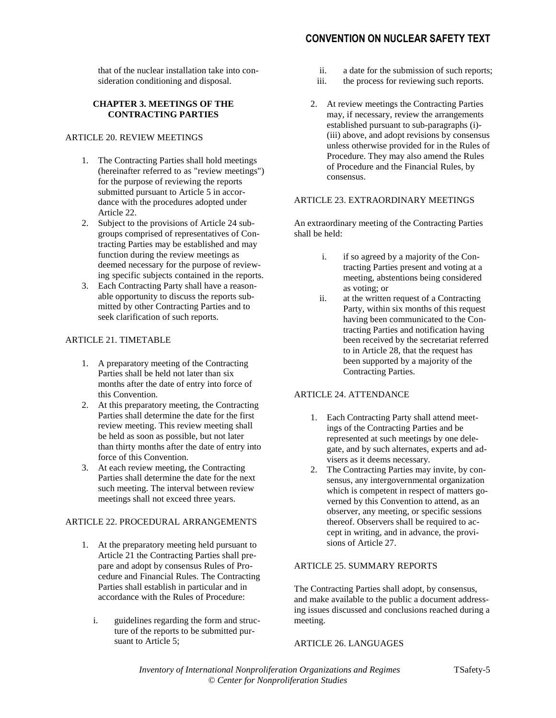that of the nuclear installation take into consideration conditioning and disposal.

### **CHAPTER 3. MEETINGS OF THE CONTRACTING PARTIES**

# ARTICLE 20. REVIEW MEETINGS

- 1. The Contracting Parties shall hold meetings (hereinafter referred to as "review meetings") for the purpose of reviewing the reports submitted pursuant to Article 5 in accordance with the procedures adopted under Article 22.
- 2. Subject to the provisions of Article 24 subgroups comprised of representatives of Contracting Parties may be established and may function during the review meetings as deemed necessary for the purpose of reviewing specific subjects contained in the reports.
- 3. Each Contracting Party shall have a reasonable opportunity to discuss the reports submitted by other Contracting Parties and to seek clarification of such reports.

## ARTICLE 21. TIMETABLE

- 1. A preparatory meeting of the Contracting Parties shall be held not later than six months after the date of entry into force of this Convention.
- 2. At this preparatory meeting, the Contracting Parties shall determine the date for the first review meeting. This review meeting shall be held as soon as possible, but not later than thirty months after the date of entry into force of this Convention.
- 3. At each review meeting, the Contracting Parties shall determine the date for the next such meeting. The interval between review meetings shall not exceed three years.

# ARTICLE 22. PROCEDURAL ARRANGEMENTS

- 1. At the preparatory meeting held pursuant to Article 21 the Contracting Parties shall prepare and adopt by consensus Rules of Procedure and Financial Rules. The Contracting Parties shall establish in particular and in accordance with the Rules of Procedure:
	- i. guidelines regarding the form and structure of the reports to be submitted pursuant to Article 5;
- ii. a date for the submission of such reports;
- iii. the process for reviewing such reports.
- 2. At review meetings the Contracting Parties may, if necessary, review the arrangements established pursuant to sub-paragraphs (i)- (iii) above, and adopt revisions by consensus unless otherwise provided for in the Rules of Procedure. They may also amend the Rules of Procedure and the Financial Rules, by consensus.

# ARTICLE 23. EXTRAORDINARY MEETINGS

An extraordinary meeting of the Contracting Parties shall be held:

- i. if so agreed by a majority of the Contracting Parties present and voting at a meeting, abstentions being considered as voting; or
- ii. at the written request of a Contracting Party, within six months of this request having been communicated to the Contracting Parties and notification having been received by the secretariat referred to in Article 28, that the request has been supported by a majority of the Contracting Parties.

# ARTICLE 24. ATTENDANCE

- 1. Each Contracting Party shall attend meetings of the Contracting Parties and be represented at such meetings by one delegate, and by such alternates, experts and advisers as it deems necessary.
- 2. The Contracting Parties may invite, by consensus, any intergovernmental organization which is competent in respect of matters governed by this Convention to attend, as an observer, any meeting, or specific sessions thereof. Observers shall be required to accept in writing, and in advance, the provisions of Article 27.

# ARTICLE 25. SUMMARY REPORTS

The Contracting Parties shall adopt, by consensus, and make available to the public a document addressing issues discussed and conclusions reached during a meeting.

#### ARTICLE 26. LANGUAGES

*Inventory of International Nonproliferation Organizations and Regimes © Center for Nonproliferation Studies*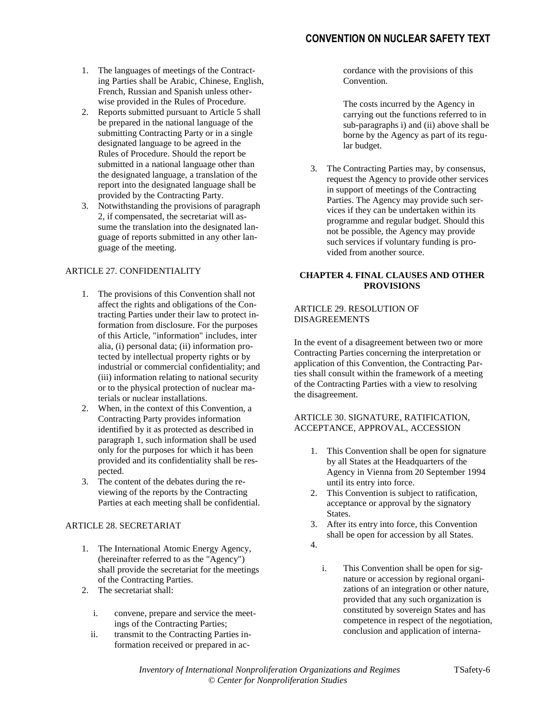- 1. The languages of meetings of the Contracting Parties shall be Arabic, Chinese, English, French, Russian and Spanish unless otherwise provided in the Rules of Procedure.
- 2. Reports submitted pursuant to Article 5 shall be prepared in the national language of the submitting Contracting Party or in a single designated language to be agreed in the Rules of Procedure. Should the report be submitted in a national language other than the designated language, a translation of the report into the designated language shall be provided by the Contracting Party.
- 3. Notwithstanding the provisions of paragraph 2, if compensated, the secretariat will assume the translation into the designated language of reports submitted in any other language of the meeting.

## ARTICLE 27. CONFIDENTIALITY

- 1. The provisions of this Convention shall not affect the rights and obligations of the Contracting Parties under their law to protect information from disclosure. For the purposes of this Article, "information" includes, inter alia, (i) personal data; (ii) information protected by intellectual property rights or by industrial or commercial confidentiality; and (iii) information relating to national security or to the physical protection of nuclear materials or nuclear installations.
- 2. When, in the context of this Convention, a Contracting Party provides information identified by it as protected as described in paragraph 1, such information shall be used only for the purposes for which it has been provided and its confidentiality shall be respected.
- 3. The content of the debates during the reviewing of the reports by the Contracting Parties at each meeting shall be confidential.

#### ARTICLE 28. SECRETARIAT

- 1. The International Atomic Energy Agency, (hereinafter referred to as the "Agency") shall provide the secretariat for the meetings of the Contracting Parties.
- 2. The secretariat shall:
	- i. convene, prepare and service the meetings of the Contracting Parties;
	- ii. transmit to the Contracting Parties information received or prepared in ac-

cordance with the provisions of this Convention.

The costs incurred by the Agency in carrying out the functions referred to in sub-paragraphs i) and (ii) above shall be borne by the Agency as part of its regular budget.

3. The Contracting Parties may, by consensus, request the Agency to provide other services in support of meetings of the Contracting Parties. The Agency may provide such services if they can be undertaken within its programme and regular budget. Should this not be possible, the Agency may provide such services if voluntary funding is provided from another source.

#### **CHAPTER 4. FINAL CLAUSES AND OTHER PROVISIONS**

#### ARTICLE 29. RESOLUTION OF DISAGREEMENTS

In the event of a disagreement between two or more Contracting Parties concerning the interpretation or application of this Convention, the Contracting Parties shall consult within the framework of a meeting of the Contracting Parties with a view to resolving the disagreement.

#### ARTICLE 30. SIGNATURE, RATIFICATION, ACCEPTANCE, APPROVAL, ACCESSION

- 1. This Convention shall be open for signature by all States at the Headquarters of the Agency in Vienna from 20 September 1994 until its entry into force.
- 2. This Convention is subject to ratification, acceptance or approval by the signatory States.
- 3. After its entry into force, this Convention shall be open for accession by all States.
- 4.
- i. This Convention shall be open for signature or accession by regional organizations of an integration or other nature, provided that any such organization is constituted by sovereign States and has competence in respect of the negotiation, conclusion and application of interna-
- *Inventory of International Nonproliferation Organizations and Regimes © Center for Nonproliferation Studies*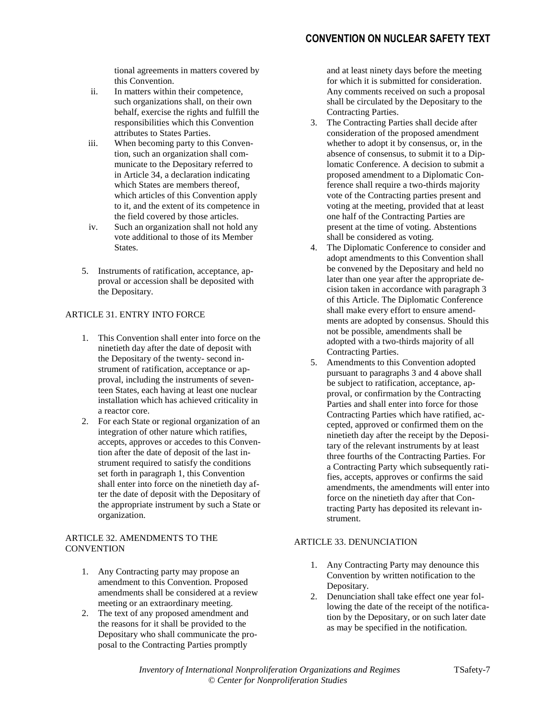tional agreements in matters covered by this Convention.

- ii. In matters within their competence, such organizations shall, on their own behalf, exercise the rights and fulfill the responsibilities which this Convention attributes to States Parties.
- iii. When becoming party to this Convention, such an organization shall communicate to the Depositary referred to in Article 34, a declaration indicating which States are members thereof, which articles of this Convention apply to it, and the extent of its competence in the field covered by those articles.
- iv. Such an organization shall not hold any vote additional to those of its Member States.
- 5. Instruments of ratification, acceptance, approval or accession shall be deposited with the Depositary.

# ARTICLE 31. ENTRY INTO FORCE

- 1. This Convention shall enter into force on the ninetieth day after the date of deposit with the Depositary of the twenty- second instrument of ratification, acceptance or approval, including the instruments of seventeen States, each having at least one nuclear installation which has achieved criticality in a reactor core.
- 2. For each State or regional organization of an integration of other nature which ratifies, accepts, approves or accedes to this Convention after the date of deposit of the last instrument required to satisfy the conditions set forth in paragraph 1, this Convention shall enter into force on the ninetieth day after the date of deposit with the Depositary of the appropriate instrument by such a State or organization.

# ARTICLE 32. AMENDMENTS TO THE **CONVENTION**

- 1. Any Contracting party may propose an amendment to this Convention. Proposed amendments shall be considered at a review meeting or an extraordinary meeting.
- 2. The text of any proposed amendment and the reasons for it shall be provided to the Depositary who shall communicate the proposal to the Contracting Parties promptly

and at least ninety days before the meeting for which it is submitted for consideration. Any comments received on such a proposal shall be circulated by the Depositary to the Contracting Parties.

- 3. The Contracting Parties shall decide after consideration of the proposed amendment whether to adopt it by consensus, or, in the absence of consensus, to submit it to a Diplomatic Conference. A decision to submit a proposed amendment to a Diplomatic Conference shall require a two-thirds majority vote of the Contracting parties present and voting at the meeting, provided that at least one half of the Contracting Parties are present at the time of voting. Abstentions shall be considered as voting.
- 4. The Diplomatic Conference to consider and adopt amendments to this Convention shall be convened by the Depositary and held no later than one year after the appropriate decision taken in accordance with paragraph 3 of this Article. The Diplomatic Conference shall make every effort to ensure amendments are adopted by consensus. Should this not be possible, amendments shall be adopted with a two-thirds majority of all Contracting Parties.
- 5. Amendments to this Convention adopted pursuant to paragraphs 3 and 4 above shall be subject to ratification, acceptance, approval, or confirmation by the Contracting Parties and shall enter into force for those Contracting Parties which have ratified, accepted, approved or confirmed them on the ninetieth day after the receipt by the Depositary of the relevant instruments by at least three fourths of the Contracting Parties. For a Contracting Party which subsequently ratifies, accepts, approves or confirms the said amendments, the amendments will enter into force on the ninetieth day after that Contracting Party has deposited its relevant instrument.

# ARTICLE 33. DENUNCIATION

- 1. Any Contracting Party may denounce this Convention by written notification to the Depositary.
- 2. Denunciation shall take effect one year following the date of the receipt of the notification by the Depositary, or on such later date as may be specified in the notification.